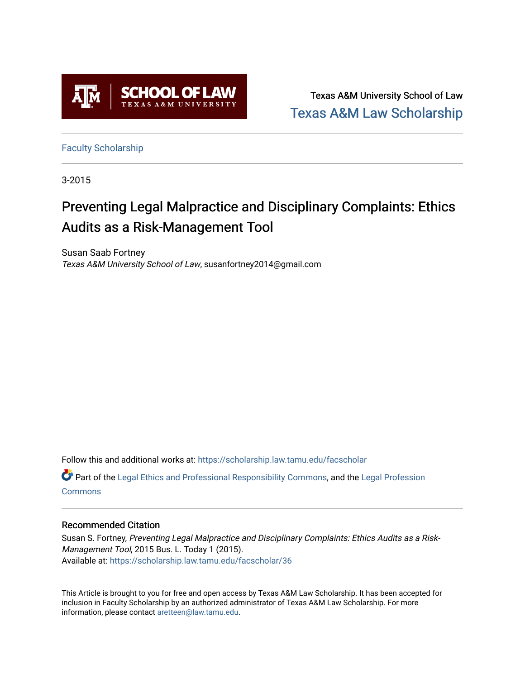

Texas A&M University School of Law [Texas A&M Law Scholarship](https://scholarship.law.tamu.edu/) 

[Faculty Scholarship](https://scholarship.law.tamu.edu/facscholar)

3-2015

### Preventing Legal Malpractice and Disciplinary Complaints: Ethics Audits as a Risk-Management Tool

Susan Saab Fortney Texas A&M University School of Law, susanfortney2014@gmail.com

Follow this and additional works at: [https://scholarship.law.tamu.edu/facscholar](https://scholarship.law.tamu.edu/facscholar?utm_source=scholarship.law.tamu.edu%2Ffacscholar%2F36&utm_medium=PDF&utm_campaign=PDFCoverPages) 

Part of the [Legal Ethics and Professional Responsibility Commons](http://network.bepress.com/hgg/discipline/895?utm_source=scholarship.law.tamu.edu%2Ffacscholar%2F36&utm_medium=PDF&utm_campaign=PDFCoverPages), and the [Legal Profession](http://network.bepress.com/hgg/discipline/1075?utm_source=scholarship.law.tamu.edu%2Ffacscholar%2F36&utm_medium=PDF&utm_campaign=PDFCoverPages) **[Commons](http://network.bepress.com/hgg/discipline/1075?utm_source=scholarship.law.tamu.edu%2Ffacscholar%2F36&utm_medium=PDF&utm_campaign=PDFCoverPages)** 

#### Recommended Citation

Susan S. Fortney, Preventing Legal Malpractice and Disciplinary Complaints: Ethics Audits as a Risk-Management Tool, 2015 Bus. L. Today 1 (2015). Available at: [https://scholarship.law.tamu.edu/facscholar/36](https://scholarship.law.tamu.edu/facscholar/36?utm_source=scholarship.law.tamu.edu%2Ffacscholar%2F36&utm_medium=PDF&utm_campaign=PDFCoverPages) 

This Article is brought to you for free and open access by Texas A&M Law Scholarship. It has been accepted for inclusion in Faculty Scholarship by an authorized administrator of Texas A&M Law Scholarship. For more information, please contact [aretteen@law.tamu.edu](mailto:aretteen@law.tamu.edu).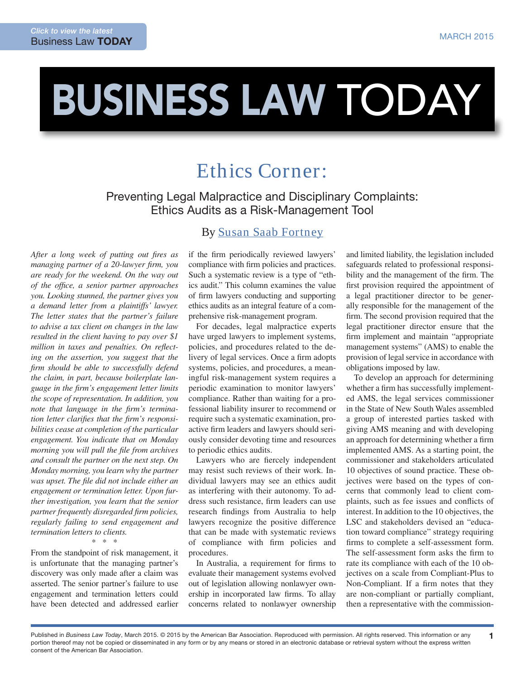# BUSINESS LAW TODAY

## Ethics Corner:

Preventing Legal Malpractice and Disciplinary Complaints: ethics Audits as a Risk-Management Tool

After a long week of putting out fires as *managing partner of a 20-lawyer irm, you are ready for the weekend. On the way out of the ofice, a senior partner approaches you. Looking stunned, the partner gives you a demand letter from a plaintiffs' lawyer. The letter states that the partner's failure to advise a tax client on changes in the law resulted in the client having to pay over \$1 million in taxes and penalties. On relecting on the assertion, you suggest that the irm should be able to successfully defend the claim, in part, because boilerplate language in the irm's engagement letter limits the scope of representation. In addition, you note that language in the irm's termina*tion letter clarifies that the firm's responsi*bilities cease at completion of the particular engagement. You indicate that on Monday morning you will pull the ile from archives and consult the partner on the next step. On Monday morning, you learn why the partner was upset. The ile did not include either an engagement or termination letter. Upon further investigation, you learn that the senior partner frequently disregarded irm policies, regularly failing to send engagement and termination letters to clients.* 

\* \* \*

From the standpoint of risk management, it is unfortunate that the managing partner's discovery was only made after a claim was asserted. The senior partner's failure to use engagement and termination letters could have been detected and addressed earlier

### By [Susan Saab Fortney](http://lawarchive.hofstra.edu/directory/Faculty/FullTimeFaculty/ftfac_fortney.html)

if the firm periodically reviewed lawyers' compliance with irm policies and practices. Such a systematic review is a type of "ethics audit." This column examines the value of irm lawyers conducting and supporting ethics audits as an integral feature of a comprehensive risk-management program.

For decades, legal malpractice experts have urged lawyers to implement systems, policies, and procedures related to the delivery of legal services. Once a firm adopts systems, policies, and procedures, a meaningful risk-management system requires a periodic examination to monitor lawyers' compliance. Rather than waiting for a professional liability insurer to recommend or require such a systematic examination, proactive firm leaders and lawyers should seriously consider devoting time and resources to periodic ethics audits.

Lawyers who are fiercely independent may resist such reviews of their work. Individual lawyers may see an ethics audit as interfering with their autonomy. To address such resistance, firm leaders can use research findings from Australia to help lawyers recognize the positive difference that can be made with systematic reviews of compliance with irm policies and procedures.

In Australia, a requirement for irms to evaluate their management systems evolved out of legislation allowing nonlawyer ownership in incorporated law irms. To allay concerns related to nonlawyer ownership and limited liability, the legislation included safeguards related to professional responsibility and the management of the firm. The first provision required the appointment of a legal practitioner director to be generally responsible for the management of the firm. The second provision required that the legal practitioner director ensure that the firm implement and maintain "appropriate" management systems" (AMS) to enable the provision of legal service in accordance with obligations imposed by law.

To develop an approach for determining whether a firm has successfully implemented AMS, the legal services commissioner in the State of New South Wales assembled a group of interested parties tasked with giving AMS meaning and with developing an approach for determining whether a firm implemented AMS. As a starting point, the commissioner and stakeholders articulated 10 objectives of sound practice. These objectives were based on the types of concerns that commonly lead to client complaints, such as fee issues and conflicts of interest. In addition to the 10 objectives, the LSC and stakeholders devised an "education toward compliance" strategy requiring irms to complete a self-assessment form. The self-assessment form asks the firm to rate its compliance with each of the 10 objectives on a scale from Compliant-Plus to Non-Compliant. If a firm notes that they are non-compliant or partially compliant, then a representative with the commission-

1

Published in *Business Law Today*, March 2015. © 2015 by the American Bar Association. Reproduced with permission. All rights reserved. This information or any portion thereof may not be copied or disseminated in any form or by any means or stored in an electronic database or retrieval system without the express written consent of the American Bar Association.